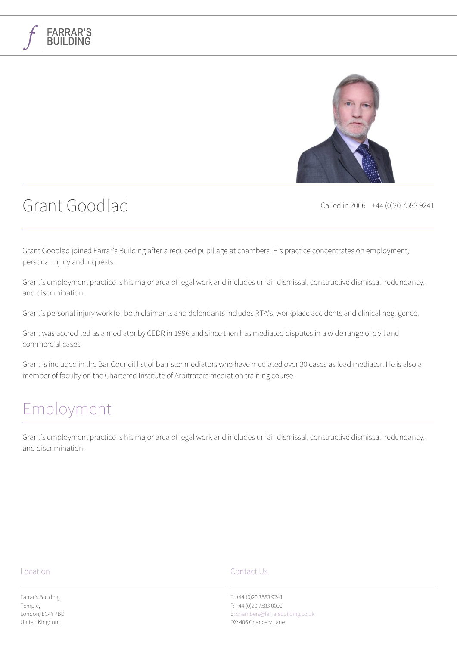

# Grant Goodlad Called in 2006 +44 (0)20 7583 9241

**FARRAR'S** 

Grant Goodlad joined Farrar's Building after a reduced pupillage at chambers. His practice concentrates on employment, personal injury and inquests.

Grant's employment practice is his major area of legal work and includes unfair dismissal, constructive dismissal, redundancy, and discrimination.

Grant's personal injury work for both claimants and defendants includes RTA's, workplace accidents and clinical negligence.

Grant was accredited as a mediator by CEDR in 1996 and since then has mediated disputes in a wide range of civil and commercial cases.

Grant is included in the Bar Council list of barrister mediators who have mediated over 30 cases as lead mediator. He is also a member of faculty on the Chartered Institute of Arbitrators mediation training course.

## [Employment](#page--1-0)

Grant's employment practice is his major area of legal work and includes unfair dismissal, constructive dismissal, redundancy, and discrimination.

#### Location

Farrar's Building, Temple, London, EC4Y 7BD United Kingdom

### Contact Us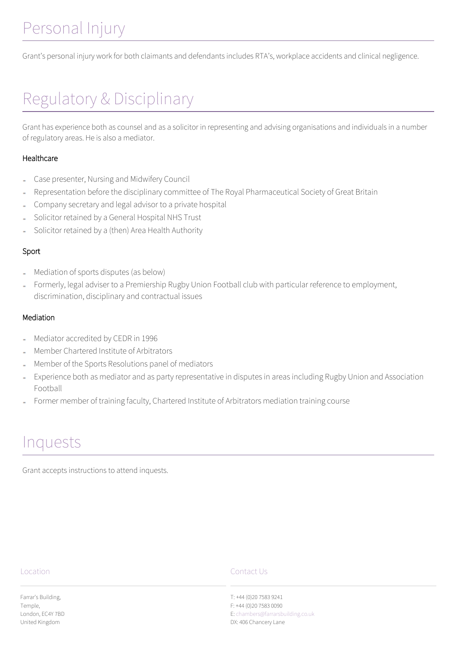# [Personal Injury](#page--1-0)

Grant's personal injury work for both claimants and defendants includes RTA's, workplace accidents and clinical negligence.

# [Regulatory & Disciplinary](#page--1-0)

Grant has experience both as counsel and as a solicitor in representing and advising organisations and individuals in a number of regulatory areas. He is also a mediator.

### Healthcare

- Case presenter, Nursing and Midwifery Council
- Representation before the disciplinary committee of The Royal Pharmaceutical Society of Great Britain
- Company secretary and legal advisor to a private hospital
- Solicitor retained by a General Hospital NHS Trust
- Solicitor retained by a (then) Area Health Authority

### Sport

- Mediation of sports disputes (as below)
- Formerly, legal adviser to a Premiership Rugby Union Football club with particular reference to employment, discrimination, disciplinary and contractual issues

### Mediation

- Mediator accredited by CEDR in 1996
- Member Chartered Institute of Arbitrators
- Member of the Sports Resolutions panel of mediators
- Experience both as mediator and as party representative in disputes in areas including Rugby Union and Association Football
- Former member of training faculty, Chartered Institute of Arbitrators mediation training course

## [Inquests](#page--1-0)

Grant accepts instructions to attend inquests.

### Location

Farrar's Building, Temple, London, EC4Y 7BD United Kingdom

### Contact Us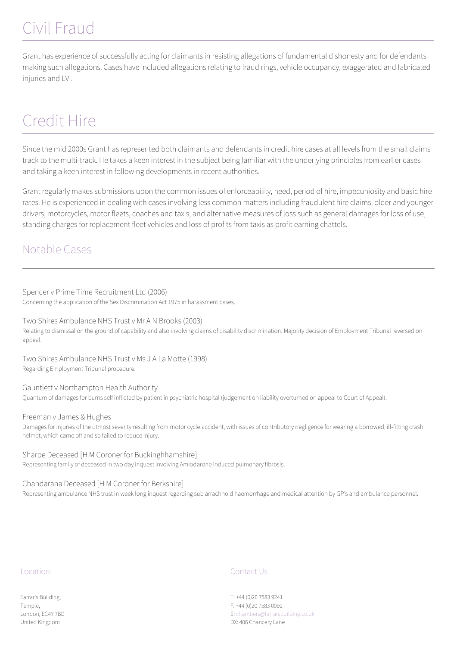# [Civil Fraud](#page--1-0)

Grant has experience of successfully acting for claimants in resisting allegations of fundamental dishonesty and for defendants making such allegations. Cases have included allegations relating to fraud rings, vehicle occupancy, exaggerated and fabricated injuries and LVI.

# [Credit Hire](#page--1-0)

Since the mid 2000s Grant has represented both claimants and defendants in credit hire cases at all levels from the small claims track to the multi-track. He takes a keen interest in the subject being familiar with the underlying principles from earlier cases and taking a keen interest in following developments in recent authorities.

Grant regularly makes submissions upon the common issues of enforceability, need, period of hire, impecuniosity and basic hire rates. He is experienced in dealing with cases involving less common matters including fraudulent hire claims, older and younger drivers, motorcycles, motor fleets, coaches and taxis, and alternative measures of loss such as general damages for loss of use, standing charges for replacement fleet vehicles and loss of profits from taxis as profit earning chattels.

## Notable Cases

Spencer v Prime Time Recruitment Ltd (2006) Concerning the application of the Sex Discrimination Act 1975 in harassment cases.

Two Shires Ambulance NHS Trust v Mr A N Brooks (2003) Relating to dismissal on the ground of capability and also involving claims of disability discrimination. Majority decision of Employment Tribunal reversed on appeal.

Two Shires Ambulance NHS Trust v Ms J A La Motte (1998) Regarding Employment Tribunal procedure.

Gauntlett v Northampton Health Authority Quantum of damages for burns self inflicted by patient in psychiatric hospital (judgement on liability overturned on appeal to Court of Appeal).

Freeman v James & Hughes Damages for injuries of the utmost severity resulting from motor cycle accident, with issues of contributory negligence for wearing a borrowed, ill-fitting crash helmet, which came off and so failed to reduce injury.

Sharpe Deceased [H M Coroner for Buckinghhamshire] Representing family of deceased in two day inquest involving Amiodarone induced pulmonary fibrosis.

Chandarana Deceased [H M Coroner for Berkshire] Representing ambulance NHS trust in week long inquest regarding sub arrachnoid haemorrhage and medical attention by GP's and ambulance personnel.

### Location

Farrar's Building, Temple, London, EC4Y 7BD United Kingdom

### Contact Us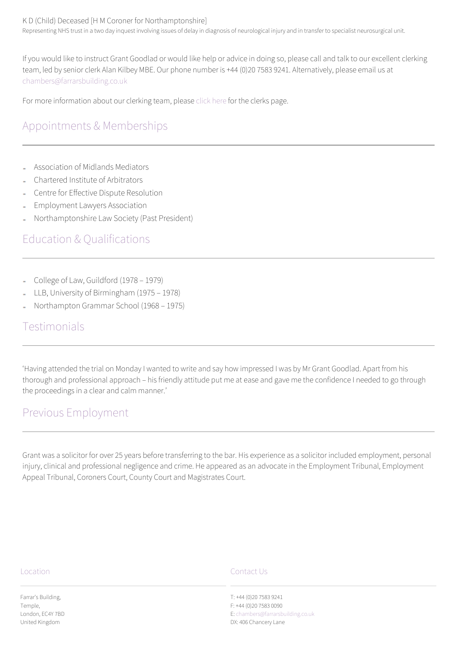### K D (Child) Deceased [H M Coroner for Northamptonshire]

Representing NHS trust in a two day inquest involving issues of delay in diagnosis of neurological injury and in transfer to specialist neurosurgical unit.

If you would like to instruct Grant Goodlad or would like help or advice in doing so, please call and talk to our excellent clerking team, led by senior clerk Alan Kilbey MBE. Our phone number is +44 (0)20 7583 9241. Alternatively, please email us at [chambers@farrarsbuilding.co.uk](mailto:chambers@farrarsbuilding.co.uk)

For more information about our clerking team, please [click here](#page--1-0) for the clerks page.

## Appointments & Memberships

- Association of Midlands Mediators
- Chartered Institute of Arbitrators
- Centre for Effective Dispute Resolution
- Employment Lawyers Association
- Northamptonshire Law Society (Past President)

## Education & Qualifications

- College of Law, Guildford (1978 1979)
- LLB, University of Birmingham (1975 1978)
- Northampton Grammar School (1968 1975)

### Testimonials

'Having attended the trial on Monday I wanted to write and say how impressed I was by Mr Grant Goodlad. Apart from his thorough and professional approach – his friendly attitude put me at ease and gave me the confidence I needed to go through the proceedings in a clear and calm manner.'

### Previous Employment

Grant was a solicitor for over 25 years before transferring to the bar. His experience as a solicitor included employment, personal injury, clinical and professional negligence and crime. He appeared as an advocate in the Employment Tribunal, Employment Appeal Tribunal, Coroners Court, County Court and Magistrates Court.

#### Location

Farrar's Building, Temple, London, EC4Y 7BD United Kingdom

### Contact Us